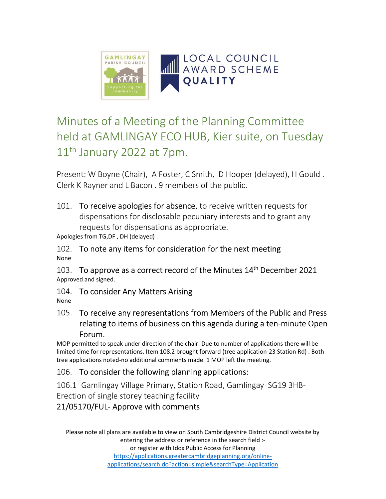

# Minutes of a Meeting of the Planning Committee held at GAMLINGAY ECO HUB, Kier suite, on Tuesday 11<sup>th</sup> January 2022 at 7pm.

Present: W Boyne (Chair), A Foster, C Smith, D Hooper (delayed), H Gould . Clerk K Rayner and L Bacon . 9 members of the public.

101. To receive apologies for absence, to receive written requests for dispensations for disclosable pecuniary interests and to grant any requests for dispensations as appropriate.

Apologies from TG,DF , DH (delayed) .

102. To note any items for consideration for the next meeting None

103. To approve as a correct record of the Minutes 14<sup>th</sup> December 2021 Approved and signed.

104. To consider Any Matters Arising None

#### 105. To receive any representations from Members of the Public and Press relating to items of business on this agenda during a ten-minute Open Forum.

MOP permitted to speak under direction of the chair. Due to number of applications there will be limited time for representations. Item 108.2 brought forward (tree application-23 Station Rd) . Both tree applications noted-no additional comments made. 1 MOP left the meeting.

#### 106. To consider the following planning applications:

106.1 Gamlingay Village Primary, Station Road, Gamlingay SG19 3HB-

Erection of single storey teaching facility

## 21/05170/FUL- Approve with comments

Please note all plans are available to view on South Cambridgeshire District Council website by entering the address or reference in the search field :or register with Idox Public Access for Planning

https://applications.greatercambridgeplanning.org/onlineapplications/search.do?action=simple&searchType=Application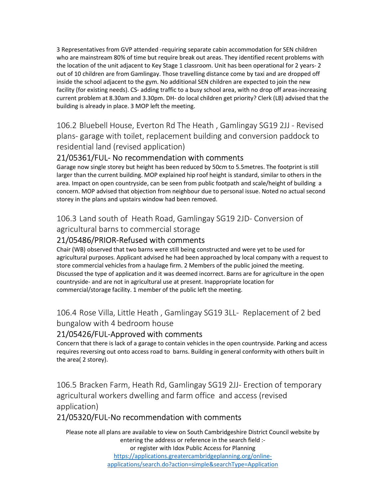3 Representatives from GVP attended -requiring separate cabin accommodation for SEN children who are mainstream 80% of time but require break out areas. They identified recent problems with the location of the unit adjacent to Key Stage 1 classroom. Unit has been operational for 2 years- 2 out of 10 children are from Gamlingay. Those travelling distance come by taxi and are dropped off inside the school adjacent to the gym. No additional SEN children are expected to join the new facility (for existing needs). CS- adding traffic to a busy school area, with no drop off areas-increasing current problem at 8.30am and 3.30pm. DH- do local children get priority? Clerk (LB) advised that the building is already in place. 3 MOP left the meeting.

106.2 Bluebell House, Everton Rd The Heath , Gamlingay SG19 2JJ - Revised plans- garage with toilet, replacement building and conversion paddock to residential land (revised application)

#### 21/05361/FUL- No recommendation with comments

Garage now single storey but height has been reduced by 50cm to 5.5metres. The footprint is still larger than the current building. MOP explained hip roof height is standard, similar to others in the area. Impact on open countryside, can be seen from public footpath and scale/height of building a concern. MOP advised that objection from neighbour due to personal issue. Noted no actual second storey in the plans and upstairs window had been removed.

#### 106.3 Land south of Heath Road, Gamlingay SG19 2JD- Conversion of agricultural barns to commercial storage

# 21/05486/PRIOR-Refused with comments

Chair (WB) observed that two barns were still being constructed and were yet to be used for agricultural purposes. Applicant advised he had been approached by local company with a request to store commercial vehicles from a haulage firm. 2 Members of the public joined the meeting. Discussed the type of application and it was deemed incorrect. Barns are for agriculture in the open countryside- and are not in agricultural use at present. Inappropriate location for commercial/storage facility. 1 member of the public left the meeting.

106.4 Rose Villa, Little Heath , Gamlingay SG19 3LL- Replacement of 2 bed bungalow with 4 bedroom house

#### 21/05426/FUL-Approved with comments

Concern that there is lack of a garage to contain vehicles in the open countryside. Parking and access requires reversing out onto access road to barns. Building in general conformity with others built in the area( 2 storey).

106.5 Bracken Farm, Heath Rd, Gamlingay SG19 2JJ- Erection of temporary agricultural workers dwelling and farm office and access (revised application)

#### 21/05320/FUL-No recommendation with comments

Please note all plans are available to view on South Cambridgeshire District Council website by entering the address or reference in the search field :or register with Idox Public Access for Planning https://applications.greatercambridgeplanning.org/onlineapplications/search.do?action=simple&searchType=Application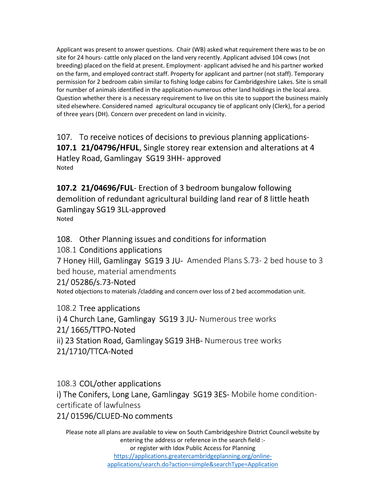Applicant was present to answer questions. Chair (WB) asked what requirement there was to be on site for 24 hours- cattle only placed on the land very recently. Applicant advised 104 cows (not breeding) placed on the field at present. Employment- applicant advised he and his partner worked on the farm, and employed contract staff. Property for applicant and partner (not staff). Temporary permission for 2 bedroom cabin similar to fishing lodge cabins for Cambridgeshire Lakes. Site is small for number of animals identified in the application-numerous other land holdings in the local area. Question whether there is a necessary requirement to live on this site to support the business mainly sited elsewhere. Considered named agricultural occupancy tie of applicant only (Clerk), for a period of three years (DH). Concern over precedent on land in vicinity.

107. To receive notices of decisions to previous planning applications-107.1 21/04796/HFUL, Single storey rear extension and alterations at 4 Hatley Road, Gamlingay SG19 3HH- approved Noted

107.2 21/04696/FUL- Erection of 3 bedroom bungalow following demolition of redundant agricultural building land rear of 8 little heath Gamlingay SG19 3LL-approved Noted

#### 108. Other Planning issues and conditions for information

108.1 Conditions applications

7 Honey Hill, Gamlingay SG19 3 JU- Amended Plans S.73- 2 bed house to 3 bed house, material amendments

#### 21/ 05286/s.73-Noted

Noted objections to materials /cladding and concern over loss of 2 bed accommodation unit.

108.2 Tree applications i) 4 Church Lane, Gamlingay SG19 3 JU- Numerous tree works 21/ 1665/TTPO-Noted ii) 23 Station Road, Gamlingay SG19 3HB- Numerous tree works 21/1710/TTCA-Noted

108.3 COL/other applications i) The Conifers, Long Lane, Gamlingay SG19 3ES-Mobile home conditioncertificate of lawfulness

#### 21/ 01596/CLUED-No comments

Please note all plans are available to view on South Cambridgeshire District Council website by entering the address or reference in the search field :or register with Idox Public Access for Planning https://applications.greatercambridgeplanning.org/onlineapplications/search.do?action=simple&searchType=Application